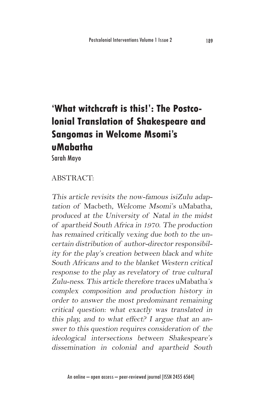## **'What witchcraft is this!': The Postcolonial Translation of Shakespeare and Sangomas in Welcome Msomi's uMabatha**

Sarah Mayo

## ABSTRACT:

This article revisits the now-famous isiZulu adaptation of Macbeth, Welcome Msomi's uMabatha, produced at the University of Natal in the midst of apartheid South Africa in 1970. The production has remained critically vexing due both to the uncertain distribution of author-director responsibility for the play's creation between black and white South Africans and to the blanket Western critical response to the play as revelatory of true cultural Zulu-ness. This article therefore traces uMabatha's complex composition and production history in order to answer the most predominant remaining critical question: what exactly was translated in this play, and to what effect? I argue that an answer to this question requires consideration of the ideological intersections between Shakespeare's dissemination in colonial and apartheid South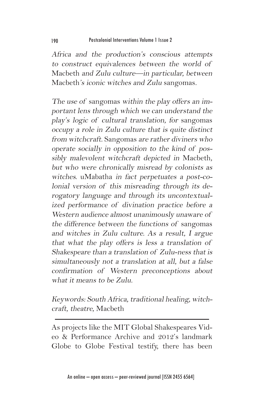Africa and the production's conscious attempts to construct equivalences between the world of Macbeth and Zulu culture—in particular, between Macbeth's iconic witches and Zulu sangomas.

The use of sangomas within the play offers an important lens through which we can understand the play's logic of cultural translation, for sangomas occupy a role in Zulu culture that is quite distinct from witchcraft. Sangomas are rather diviners who operate socially in opposition to the kind of possibly malevolent witchcraft depicted in Macbeth, but who were chronically misread by colonists as witches. uMabatha in fact perpetuates a post-colonial version of this misreading through its derogatory language and through its uncontextualized performance of divination practice before a Western audience almost unanimously unaware of the difference between the functions of sangomas and witches in Zulu culture. As a result, I argue that what the play offers is less a translation of Shakespeare than a translation of Zulu-ness that is simultaneously not a translation at all, but a false confirmation of Western preconceptions about what it means to be Zulu.

Keywords: South Africa, traditional healing, witchcraft, theatre, Macbeth

As projects like the MIT Global Shakespeares Video & Performance Archive and 2012's landmark Globe to Globe Festival testify, there has been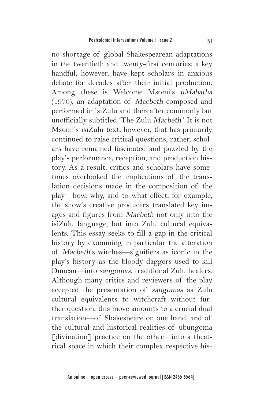no shortage of global Shakespearean adaptations in the twentieth and twenty-first centuries; a key handful, however, have kept scholars in anxious debate for decades after their initial production. Among these is Welcome Msomi's uMabatha (1970), an adaptation of Macbeth composed and performed in isiZulu and thereafter commonly but unofficially subtitled 'The Zulu Macbeth.' It is not Msomi's isiZulu text, however, that has primarily continued to raise critical questions; rather, scholars have remained fascinated and puzzled by the play's performance, reception, and production history. As a result, critics and scholars have sometimes overlooked the implications of the translation decisions made in the composition of the play—how, why, and to what effect, for example, the show's creative producers translated key images and figures from Macbeth not only into the isiZulu language, but into Zulu cultural equivalents. This essay seeks to fill a gap in the critical history by examining in particular the alteration of Macbeth's witches—signifiers as iconic in the play's history as the bloody daggers used to kill Duncan—into sangomas, traditional Zulu healers. Although many critics and reviewers of the play accepted the presentation of sangomas as Zulu cultural equivalents to witchcraft without further question, this move amounts to a crucial dual translation—of Shakespeare on one hand, and of the cultural and historical realities of ubungoma [divination] practice on the other—into a theatrical space in which their complex respective his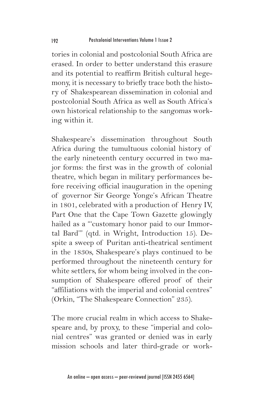tories in colonial and postcolonial South Africa are erased. In order to better understand this erasure and its potential to reaffirm British cultural hegemony, it is necessary to briefly trace both the history of Shakespearean dissemination in colonial and postcolonial South Africa as well as South Africa's own historical relationship to the sangomas working within it.

Shakespeare's dissemination throughout South Africa during the tumultuous colonial history of the early nineteenth century occurred in two major forms: the first was in the growth of colonial theatre, which began in military performances before receiving official inauguration in the opening of governor Sir George Yonge's African Theatre in 1801, celebrated with a production of Henry IV, Part One that the Cape Town Gazette glowingly hailed as a "'customary honor paid to our Immortal Bard'" (qtd. in Wright, Introduction 15). Despite a sweep of Puritan anti-theatrical sentiment in the 1830s, Shakespeare's plays continued to be performed throughout the nineteenth century for white settlers, for whom being involved in the consumption of Shakespeare offered proof of their "affiliations with the imperial and colonial centres" (Orkin, "The Shakespeare Connection" 235).

The more crucial realm in which access to Shakespeare and, by proxy, to these "imperial and colonial centres" was granted or denied was in early mission schools and later third-grade or work-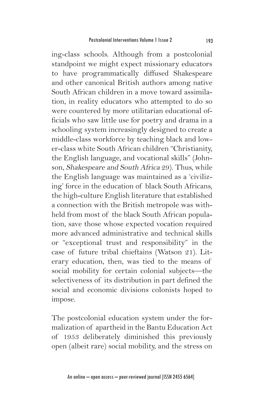ing-class schools. Although from a postcolonial standpoint we might expect missionary educators to have programmatically diffused Shakespeare and other canonical British authors among native South African children in a move toward assimilation, in reality educators who attempted to do so were countered by more utilitarian educational officials who saw little use for poetry and drama in a schooling system increasingly designed to create a middle-class workforce by teaching black and lower-class white South African children "Christianity, the English language, and vocational skills" (Johnson, Shakespeare and South Africa 29). Thus, while the English language was maintained as a 'civilizing' force in the education of black South Africans, the high-culture English literature that established a connection with the British metropole was withheld from most of the black South African population, save those whose expected vocation required more advanced administrative and technical skills or "exceptional trust and responsibility" in the case of future tribal chieftains (Watson 21). Literary education, then, was tied to the means of social mobility for certain colonial subjects—the selectiveness of its distribution in part defined the social and economic divisions colonists hoped to impose.

The postcolonial education system under the formalization of apartheid in the Bantu Education Act of 1953 deliberately diminished this previously open (albeit rare) social mobility, and the stress on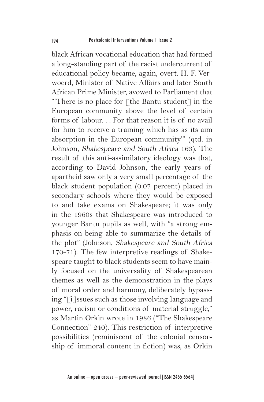black African vocational education that had formed a long-standing part of the racist undercurrent of educational policy became, again, overt. H. F. Verwoerd, Minister of Native Affairs and later South African Prime Minister, avowed to Parliament that "'There is no place for [the Bantu student] in the European community above the level of certain forms of labour. . . For that reason it is of no avail for him to receive a training which has as its aim absorption in the European community'" (qtd. in Johnson, Shakespeare and South Africa 163). The result of this anti-assimilatory ideology was that, according to David Johnson, the early years of apartheid saw only a very small percentage of the black student population (0.07 percent) placed in secondary schools where they would be exposed to and take exams on Shakespeare; it was only in the 1960s that Shakespeare was introduced to younger Bantu pupils as well, with "a strong emphasis on being able to summarize the details of the plot" (Johnson, Shakespeare and South Africa 170-71). The few interpretive readings of Shakespeare taught to black students seem to have mainly focused on the universality of Shakespearean themes as well as the demonstration in the plays of moral order and harmony, deliberately bypassing "[i]ssues such as those involving language and power, racism or conditions of material struggle," as Martin Orkin wrote in 1986 ("The Shakespeare Connection" 240). This restriction of interpretive possibilities (reminiscent of the colonial censorship of immoral content in fiction) was, as Orkin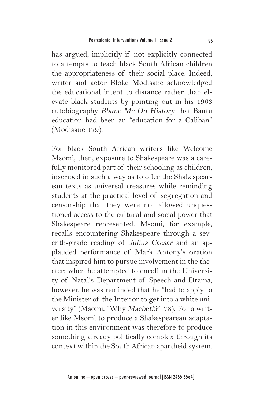has argued, implicitly if not explicitly connected to attempts to teach black South African children the appropriateness of their social place. Indeed, writer and actor Bloke Modisane acknowledged the educational intent to distance rather than elevate black students by pointing out in his 1963 autobiography Blame Me On History that Bantu education had been an "education for a Caliban" (Modisane 179).

For black South African writers like Welcome Msomi, then, exposure to Shakespeare was a carefully monitored part of their schooling as children, inscribed in such a way as to offer the Shakespearean texts as universal treasures while reminding students at the practical level of segregation and censorship that they were not allowed unquestioned access to the cultural and social power that Shakespeare represented. Msomi, for example, recalls encountering Shakespeare through a seventh-grade reading of Julius Caesar and an applauded performance of Mark Antony's oration that inspired him to pursue involvement in the theater; when he attempted to enroll in the University of Natal's Department of Speech and Drama, however, he was reminded that he "had to apply to the Minister of the Interior to get into a white university" (Msomi, "Why Macbeth?" 78). For a writer like Msomi to produce a Shakespearean adaptation in this environment was therefore to produce something already politically complex through its context within the South African apartheid system.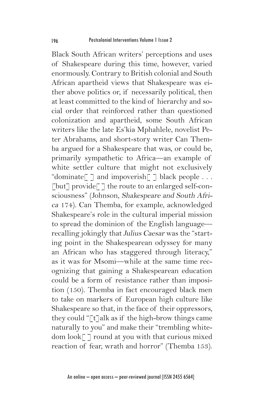Black South African writers' perceptions and uses of Shakespeare during this time, however, varied enormously. Contrary to British colonial and South African apartheid views that Shakespeare was either above politics or, if necessarily political, then at least committed to the kind of hierarchy and social order that reinforced rather than questioned colonization and apartheid, some South African writers like the late Es'kia Mphahlele, novelist Peter Abrahams, and short-story writer Can Themba argued for a Shakespeare that was, or could be, primarily sympathetic to Africa—an example of white settler culture that might not exclusively "dominate"  $\lceil$  and impoverish"  $\lceil$  black people ...  $\lceil \text{but} \rceil$  provide $\lceil \rceil$  the route to an enlarged self-consciousness" (Johnson, Shakespeare and South Africa 174). Can Themba, for example, acknowledged Shakespeare's role in the cultural imperial mission to spread the dominion of the English language recalling jokingly that Julius Caesar was the "starting point in the Shakespearean odyssey for many an African who has staggered through literacy," as it was for Msomi—while at the same time recognizing that gaining a Shakespearean education could be a form of resistance rather than imposition (150). Themba in fact encouraged black men to take on markers of European high culture like Shakespeare so that, in the face of their oppressors, they could " $\lceil t \rceil$ alk as if the high-brow things came naturally to you" and make their "trembling whitedom look[ ] round at you with that curious mixed reaction of fear, wrath and horror" (Themba 153).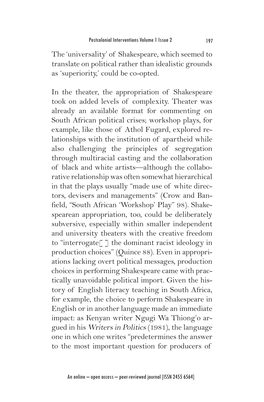The 'universality' of Shakespeare, which seemed to translate on political rather than idealistic grounds as 'superiority,' could be co-opted.

In the theater, the appropriation of Shakespeare took on added levels of complexity. Theater was already an available format for commenting on South African political crises; workshop plays, for example, like those of Athol Fugard, explored relationships with the institution of apartheid while also challenging the principles of segregation through multiracial casting and the collaboration of black and white artists—although the collaborative relationship was often somewhat hierarchical in that the plays usually "made use of white directors, devisers and managements" (Crow and Banfield, "South African 'Workshop' Play" 98). Shakespearean appropriation, too, could be deliberately subversive, especially within smaller independent and university theaters with the creative freedom to "interrogate[ ] the dominant racist ideology in production choices" (Quince 88). Even in appropriations lacking overt political messages, production choices in performing Shakespeare came with practically unavoidable political import. Given the history of English literacy teaching in South Africa, for example, the choice to perform Shakespeare in English or in another language made an immediate impact: as Kenyan writer Ngugi Wa Thiong'o argued in his Writers in Politics (1981), the language one in which one writes "predetermines the answer to the most important question for producers of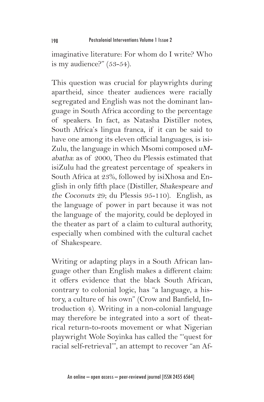imaginative literature: For whom do I write? Who is my audience?" (53-54).

This question was crucial for playwrights during apartheid, since theater audiences were racially segregated and English was not the dominant language in South Africa according to the percentage of speakers. In fact, as Natasha Distiller notes, South Africa's lingua franca, if it can be said to have one among its eleven official languages, is isi-Zulu, the language in which Msomi composed uMabatha: as of 2000, Theo du Plessis estimated that isiZulu had the greatest percentage of speakers in South Africa at 23%, followed by isiXhosa and English in only fifth place (Distiller, Shakespeare and the Coconuts 29; du Plessis 95-110). English, as the language of power in part because it was not the language of the majority, could be deployed in the theater as part of a claim to cultural authority, especially when combined with the cultural cachet of Shakespeare.

Writing or adapting plays in a South African language other than English makes a different claim: it offers evidence that the black South African, contrary to colonial logic, has "a language, a history, a culture of his own" (Crow and Banfield, Introduction 4). Writing in a non-colonial language may therefore be integrated into a sort of theatrical return-to-roots movement or what Nigerian playwright Wole Soyinka has called the "'quest for racial self-retrieval'", an attempt to recover "an Af-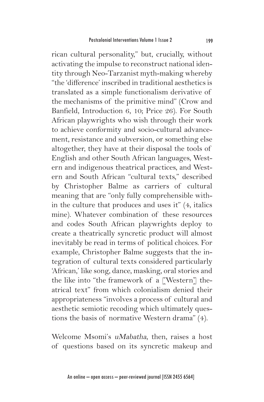rican cultural personality," but, crucially, without activating the impulse to reconstruct national identity through Neo-Tarzanist myth-making whereby "the 'difference' inscribed in traditional aesthetics is translated as a simple functionalism derivative of the mechanisms of the primitive mind" (Crow and Banfield, Introduction 6, 10; Price 26). For South African playwrights who wish through their work to achieve conformity and socio-cultural advancement, resistance and subversion, or something else altogether, they have at their disposal the tools of English and other South African languages, Western and indigenous theatrical practices, and Western and South African "cultural texts," described by Christopher Balme as carriers of cultural meaning that are "only fully comprehensible within the culture that produces and uses it" (4, italics mine). Whatever combination of these resources and codes South African playwrights deploy to create a theatrically syncretic product will almost inevitably be read in terms of political choices. For example, Christopher Balme suggests that the integration of cultural texts considered particularly 'African,' like song, dance, masking, oral stories and the like into "the framework of a [Western] theatrical text" from which colonialism denied their appropriateness "involves a process of cultural and aesthetic semiotic recoding which ultimately questions the basis of normative Western drama" (4).

Welcome Msomi's uMabatha, then, raises a host of questions based on its syncretic makeup and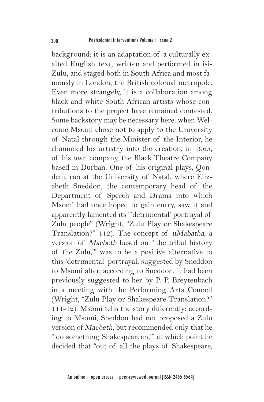background: it is an adaptation of a culturally exalted English text, written and performed in isi-Zulu, and staged both in South Africa and most famously in London, the British colonial metropole. Even more strangely, it is a collaboration among black and white South African artists whose contributions to the project have remained contested. Some backstory may be necessary here: when Welcome Msomi chose not to apply to the University of Natal through the Minister of the Interior, he channeled his artistry into the creation, in 1965, of his own company, the Black Theatre Company based in Durban. One of his original plays, Qondeni, ran at the University of Natal, where Elizabeth Sneddon, the contemporary head of the Department of Speech and Drama into which Msomi had once hoped to gain entry, saw it and apparently lamented its "'detrimental' portrayal of Zulu people" (Wright, "Zulu Play or Shakespeare Translation?" 112). The concept of uMabatha, a version of Macbeth based on "'the tribal history of the Zulu,'" was to be a positive alternative to this 'detrimental' portrayal, suggested by Sneddon to Msomi after, according to Sneddon, it had been previously suggested to her by P. P. Breytenbach in a meeting with the Performing Arts Council (Wright, "Zulu Play or Shakespeare Translation?" 111-12). Msomi tells the story differently: according to Msomi, Sneddon had not proposed a Zulu version of Macbeth, but recommended only that he "'do something Shakespearean,'" at which point he decided that "out of all the plays of Shakespeare,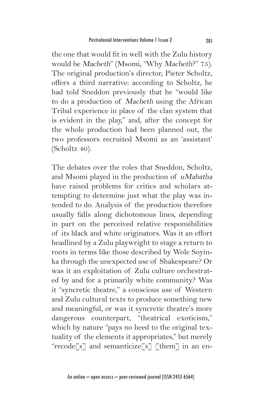the one that would fit in well with the Zulu history would be Macbeth" (Msomi, "Why Macbeth?" 75). The original production's director, Pieter Scholtz, offers a third narrative: according to Scholtz, he had told Sneddon previously that he "would like to do a production of Macbeth using the African Tribal experience in place of the clan system that is evident in the play," and, after the concept for the whole production had been planned out, the two professors recruited Msomi as an 'assistant' (Scholtz 40).

The debates over the roles that Sneddon, Scholtz, and Msomi played in the production of uMabatha have raised problems for critics and scholars attempting to determine just what the play was intended to do. Analysis of the production therefore usually falls along dichotomous lines, depending in part on the perceived relative responsibilities of its black and white originators. Was it an effort headlined by a Zulu playwright to stage a return to roots in terms like those described by Wole Soyinka through the unexpected use of Shakespeare? Or was it an exploitation of Zulu culture orchestrated by and for a primarily white community? Was it "syncretic theatre," a conscious use of Western and Zulu cultural texts to produce something new and meaningful, or was it syncretic theatre's more dangerous counterpart, "theatrical exoticism," which by nature "pays no heed to the original textuality of the elements it appropriates," but merely "recode[s] and semanticize[s] [them] in an en-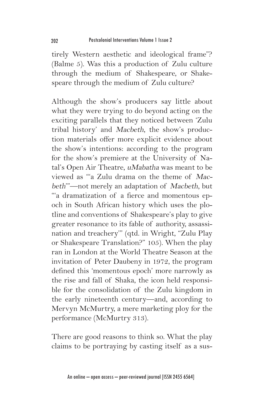tirely Western aesthetic and ideological frame"? (Balme 5). Was this a production of Zulu culture through the medium of Shakespeare, or Shakespeare through the medium of Zulu culture?

Although the show's producers say little about what they were trying to do beyond acting on the exciting parallels that they noticed between 'Zulu tribal history' and Macbeth, the show's production materials offer more explicit evidence about the show's intentions: according to the program for the show's premiere at the University of Natal's Open Air Theatre, uMabatha was meant to be viewed as "'a Zulu drama on the theme of Macbeth'"—not merely an adaptation of Macbeth, but "'a dramatization of a fierce and momentous epoch in South African history which uses the plotline and conventions of Shakespeare's play to give greater resonance to its fable of authority, assassination and treachery'" (qtd. in Wright, "Zulu Play or Shakespeare Translation?" 105). When the play ran in London at the World Theatre Season at the invitation of Peter Daubeny in 1972, the program defined this 'momentous epoch' more narrowly as the rise and fall of Shaka, the icon held responsible for the consolidation of the Zulu kingdom in the early nineteenth century—and, according to Mervyn McMurtry, a mere marketing ploy for the performance (McMurtry 313).

There are good reasons to think so. What the play claims to be portraying by casting itself as a sus-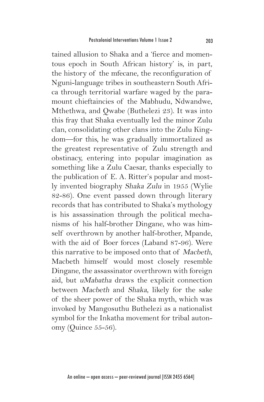tained allusion to Shaka and a 'fierce and momentous epoch in South African history' is, in part, the history of the mfecane, the reconfiguration of Nguni-language tribes in southeastern South Africa through territorial warfare waged by the paramount chieftaincies of the Mabhudu, Ndwandwe, Mthethwa, and Qwabe (Buthelezi 23). It was into this fray that Shaka eventually led the minor Zulu clan, consolidating other clans into the Zulu Kingdom—for this, he was gradually immortalized as the greatest representative of Zulu strength and obstinacy, entering into popular imagination as something like a Zulu Caesar, thanks especially to the publication of E. A. Ritter's popular and mostly invented biography Shaka Zulu in 1955 (Wylie 82-86). One event passed down through literary records that has contributed to Shaka's mythology is his assassination through the political mechanisms of his half-brother Dingane, who was himself overthrown by another half-brother, Mpande, with the aid of Boer forces (Laband 87-96). Were this narrative to be imposed onto that of Macbeth, Macbeth himself would most closely resemble Dingane, the assassinator overthrown with foreign aid, but uMabatha draws the explicit connection between Macbeth and Shaka, likely for the sake of the sheer power of the Shaka myth, which was invoked by Mangosuthu Buthelezi as a nationalist symbol for the Inkatha movement for tribal autonomy (Quince 55-56).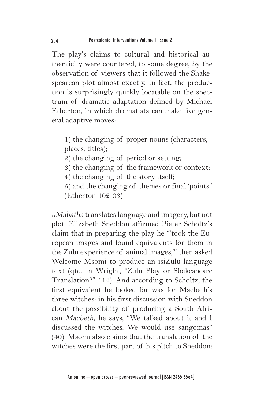The play's claims to cultural and historical authenticity were countered, to some degree, by the observation of viewers that it followed the Shakespearean plot almost exactly. In fact, the production is surprisingly quickly locatable on the spectrum of dramatic adaptation defined by Michael Etherton, in which dramatists can make five general adaptive moves:

- 1) the changing of proper nouns (characters, places, titles);
- 2) the changing of period or setting;
- 3) the changing of the framework or context;
- 4) the changing of the story itself;
- 5) and the changing of themes or final 'points.' (Etherton 102-03)

uMabatha translates language and imagery, but not plot: Elizabeth Sneddon affirmed Pieter Scholtz's claim that in preparing the play he "'took the European images and found equivalents for them in the Zulu experience of animal images,'" then asked Welcome Msomi to produce an isiZulu-language text (qtd. in Wright, "Zulu Play or Shakespeare Translation?" 114). And according to Scholtz, the first equivalent he looked for was for Macbeth's three witches: in his first discussion with Sneddon about the possibility of producing a South African Macbeth, he says, "We talked about it and I discussed the witches. We would use sangomas" (40). Msomi also claims that the translation of the witches were the first part of his pitch to Sneddon: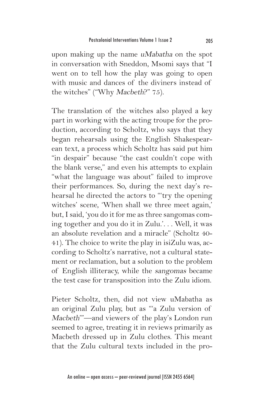upon making up the name uMabatha on the spot in conversation with Sneddon, Msomi says that "I went on to tell how the play was going to open with music and dances of the diviners instead of the witches" ("Why Macbeth?" 75).

The translation of the witches also played a key part in working with the acting troupe for the production, according to Scholtz, who says that they began rehearsals using the English Shakespearean text, a process which Scholtz has said put him "in despair" because "the cast couldn't cope with the blank verse," and even his attempts to explain "what the language was about" failed to improve their performances. So, during the next day's rehearsal he directed the actors to "'try the opening witches' scene, 'When shall we three meet again,' but, I said, 'you do it for me as three sangomas coming together and you do it in Zulu.'. . . Well, it was an absolute revelation and a miracle" (Scholtz 40- 41). The choice to write the play in isiZulu was, according to Scholtz's narrative, not a cultural statement or reclamation, but a solution to the problem of English illiteracy, while the sangomas became the test case for transposition into the Zulu idiom.

Pieter Scholtz, then, did not view uMabatha as an original Zulu play, but as "'a Zulu version of Macbeth'"—and viewers of the play's London run seemed to agree, treating it in reviews primarily as Macbeth dressed up in Zulu clothes. This meant that the Zulu cultural texts included in the pro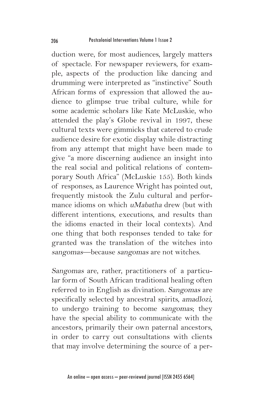duction were, for most audiences, largely matters of spectacle. For newspaper reviewers, for example, aspects of the production like dancing and drumming were interpreted as "instinctive" South African forms of expression that allowed the audience to glimpse true tribal culture, while for some academic scholars like Kate McLuskie, who attended the play's Globe revival in 1997, these cultural texts were gimmicks that catered to crude audience desire for exotic display while distracting from any attempt that might have been made to give "a more discerning audience an insight into the real social and political relations of contemporary South Africa" (McLuskie 155). Both kinds of responses, as Laurence Wright has pointed out, frequently mistook the Zulu cultural and performance idioms on which uMabatha drew (but with different intentions, executions, and results than the idioms enacted in their local contexts). And one thing that both responses tended to take for granted was the translation of the witches into sangomas—because sangomas are not witches.

Sangomas are, rather, practitioners of a particular form of South African traditional healing often referred to in English as divination. Sangomas are specifically selected by ancestral spirits, amadlozi, to undergo training to become sangomas; they have the special ability to communicate with the ancestors, primarily their own paternal ancestors, in order to carry out consultations with clients that may involve determining the source of a per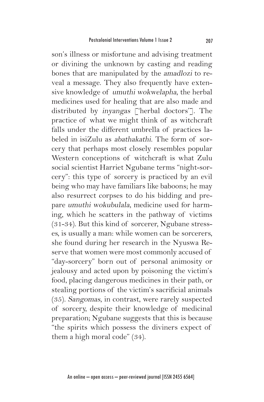son's illness or misfortune and advising treatment or divining the unknown by casting and reading bones that are manipulated by the amadlozi to reveal a message. They also frequently have extensive knowledge of umuthi wokwelapha, the herbal medicines used for healing that are also made and distributed by inyangas ['herbal doctors']. The practice of what we might think of as witchcraft falls under the different umbrella of practices labeled in isiZulu as abathakathi. The form of sorcery that perhaps most closely resembles popular Western conceptions of witchcraft is what Zulu social scientist Harriet Ngubane terms "night-sorcery": this type of sorcery is practiced by an evil being who may have familiars like baboons; he may also resurrect corpses to do his bidding and prepare umuthi wokubulala, medicine used for harming, which he scatters in the pathway of victims (31-34). But this kind of sorcerer, Ngubane stresses, is usually a man: while women can be sorcerers, she found during her research in the Nyuswa Reserve that women were most commonly accused of "day-sorcery" born out of personal animosity or jealousy and acted upon by poisoning the victim's food, placing dangerous medicines in their path, or stealing portions of the victim's sacrificial animals (35). Sangomas, in contrast, were rarely suspected of sorcery, despite their knowledge of medicinal preparation; Ngubane suggests that this is because "the spirits which possess the diviners expect of them a high moral code" (34).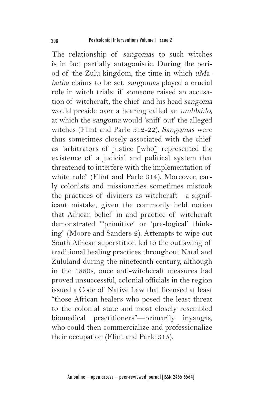The relationship of sangomas to such witches is in fact partially antagonistic. During the period of the Zulu kingdom, the time in which uMabatha claims to be set, sangomas played a crucial role in witch trials: if someone raised an accusation of witchcraft, the chief and his head sangoma would preside over a hearing called an umhlahlo, at which the sangoma would 'sniff out' the alleged witches (Flint and Parle 312-22). Sangomas were thus sometimes closely associated with the chief as "arbitrators of justice [who] represented the existence of a judicial and political system that threatened to interfere with the implementation of white rule" (Flint and Parle 314). Moreover, early colonists and missionaries sometimes mistook the practices of diviners as witchcraft—a significant mistake, given the commonly held notion that African belief in and practice of witchcraft demonstrated "'primitive' or 'pre-logical' thinking" (Moore and Sanders 2). Attempts to wipe out South African superstition led to the outlawing of traditional healing practices throughout Natal and Zululand during the nineteenth century, although in the 1880s, once anti-witchcraft measures had proved unsuccessful, colonial officials in the region issued a Code of Native Law that licensed at least "those African healers who posed the least threat to the colonial state and most closely resembled biomedical practitioners"—primarily inyangas, who could then commercialize and professionalize their occupation (Flint and Parle 315).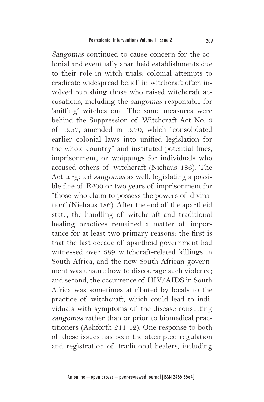Sangomas continued to cause concern for the colonial and eventually apartheid establishments due to their role in witch trials: colonial attempts to eradicate widespread belief in witchcraft often involved punishing those who raised witchcraft accusations, including the sangomas responsible for 'sniffing' witches out. The same measures were behind the Suppression of Witchcraft Act No. 3 of 1957, amended in 1970, which "consolidated earlier colonial laws into unified legislation for the whole country" and instituted potential fines, imprisonment, or whippings for individuals who accused others of witchcraft (Niehaus 186). The Act targeted sangomas as well, legislating a possible fine of R200 or two years of imprisonment for "those who claim to possess the powers of divination" (Niehaus 186). After the end of the apartheid state, the handling of witchcraft and traditional healing practices remained a matter of importance for at least two primary reasons: the first is that the last decade of apartheid government had witnessed over 389 witchcraft-related killings in South Africa, and the new South African government was unsure how to discourage such violence; and second, the occurrence of HIV/AIDS in South Africa was sometimes attributed by locals to the practice of witchcraft, which could lead to individuals with symptoms of the disease consulting sangomas rather than or prior to biomedical practitioners (Ashforth 211-12). One response to both of these issues has been the attempted regulation and registration of traditional healers, including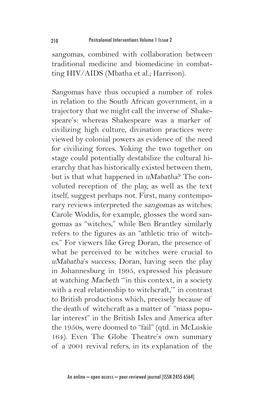sangomas, combined with collaboration between traditional medicine and biomedicine in combatting HIV/AIDS (Mbatha et al.; Harrison).

Sangomas have thus occupied a number of roles in relation to the South African government, in a trajectory that we might call the inverse of Shakespeare's: whereas Shakespeare was a marker of civilizing high culture, divination practices were viewed by colonial powers as evidence of the need for civilizing forces. Yoking the two together on stage could potentially destabilize the cultural hierarchy that has historically existed between them, but is that what happened in uMabatha? The convoluted reception of the play, as well as the text itself, suggest perhaps not. First, many contemporary reviews interpreted the sangomas as witches: Carole Woddis, for example, glosses the word sangomas as "witches," while Ben Brantley similarly refers to the figures as an "athletic trio of witches." For viewers like Greg Doran, the presence of what he perceived to be witches were crucial to uMabatha's success; Doran, having seen the play in Johannesburg in 1995, expressed his pleasure at watching Macbeth "'in this context, in a society with a real relationship to witchcraft,'" in contrast to British productions which, precisely because of the death of witchcraft as a matter of "mass popular interest" in the British Isles and America after the 1950s, were doomed to "fail" (qtd. in McLuskie 164). Even The Globe Theatre's own summary of a 2001 revival refers, in its explanation of the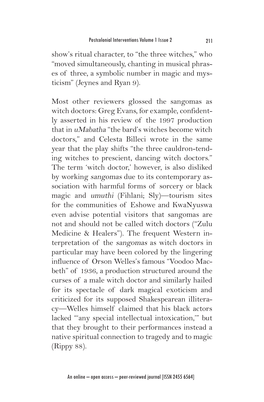show's ritual character, to "the three witches," who "moved simultaneously, chanting in musical phrases of three, a symbolic number in magic and mysticism" (Jeynes and Ryan 9).

Most other reviewers glossed the sangomas as witch doctors: Greg Evans, for example, confidently asserted in his review of the 1997 production that in uMabatha "the bard's witches become witch doctors," and Celesta Billeci wrote in the same year that the play shifts "the three cauldron-tending witches to prescient, dancing witch doctors." The term 'witch doctor,' however, is also disliked by working sangomas due to its contemporary association with harmful forms of sorcery or black magic and umuthi (Fihlani; Sly)—tourism sites for the communities of Eshowe and KwaNyuswa even advise potential visitors that sangomas are not and should not be called witch doctors ("Zulu Medicine & Healers"). The frequent Western interpretation of the sangomas as witch doctors in particular may have been colored by the lingering influence of Orson Welles's famous "Voodoo Macbeth" of 1936, a production structured around the curses of a male witch doctor and similarly hailed for its spectacle of dark magical exoticism and criticized for its supposed Shakespearean illiteracy—Welles himself claimed that his black actors lacked "'any special intellectual intoxication,'" but that they brought to their performances instead a native spiritual connection to tragedy and to magic (Rippy 88).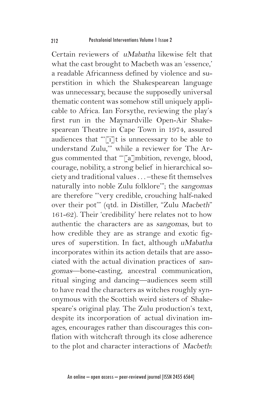Certain reviewers of uMabatha likewise felt that what the cast brought to Macbeth was an 'essence,' a readable Africanness defined by violence and superstition in which the Shakespearean language was unnecessary, because the supposedly universal thematic content was somehow still uniquely applicable to Africa. Ian Forsythe, reviewing the play's first run in the Maynardville Open-Air Shakespearean Theatre in Cape Town in 1974, assured audiences that "'[i]t is unnecessary to be able to understand Zulu,'" while a reviewer for The Argus commented that "'[a]mbition, revenge, blood, courage, nobility, a strong belief in hierarchical society and traditional values . . . –these fit themselves naturally into noble Zulu folklore'"; the sangomas are therefore "'very credible, crouching half-naked over their pot'" (qtd. in Distiller, "Zulu Macbeth" 161-62). Their 'credibility' here relates not to how authentic the characters are as sangomas, but to how credible they are as strange and exotic figures of superstition. In fact, although uMabatha incorporates within its action details that are associated with the actual divination practices of sangomas—bone-casting, ancestral communication, ritual singing and dancing—audiences seem still to have read the characters as witches roughly synonymous with the Scottish weird sisters of Shakespeare's original play. The Zulu production's text, despite its incorporation of actual divination images, encourages rather than discourages this conflation with witchcraft through its close adherence to the plot and character interactions of Macbeth: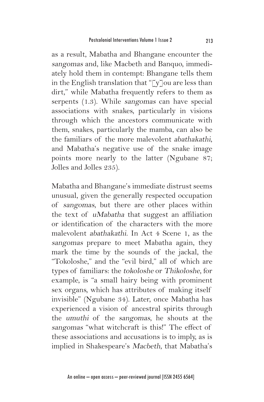as a result, Mabatha and Bhangane encounter the sangomas and, like Macbeth and Banquo, immediately hold them in contempt: Bhangane tells them in the English translation that " $\lceil y \rceil$ ou are less than dirt," while Mabatha frequently refers to them as serpents (1.3). While sangomas can have special associations with snakes, particularly in visions through which the ancestors communicate with them, snakes, particularly the mamba, can also be the familiars of the more malevolent abathakathi, and Mabatha's negative use of the snake image points more nearly to the latter (Ngubane 87; Jolles and Jolles 235).

Mabatha and Bhangane's immediate distrust seems unusual, given the generally respected occupation of sangomas, but there are other places within the text of uMabatha that suggest an affiliation or identification of the characters with the more malevolent abathakathi. In Act 4 Scene 1, as the sangomas prepare to meet Mabatha again, they mark the time by the sounds of the jackal, the "Tokoloshe," and the "evil bird," all of which are types of familiars: the tokoloshe or Thikoloshe, for example, is "a small hairy being with prominent sex organs, which has attributes of making itself invisible" (Ngubane 34). Later, once Mabatha has experienced a vision of ancestral spirits through the umuthi of the sangomas, he shouts at the sangomas "what witchcraft is this!" The effect of these associations and accusations is to imply, as is implied in Shakespeare's Macbeth, that Mabatha's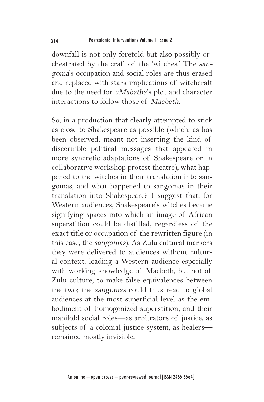downfall is not only foretold but also possibly orchestrated by the craft of the 'witches.' The sangoma's occupation and social roles are thus erased and replaced with stark implications of witchcraft due to the need for uMabatha's plot and character interactions to follow those of Macbeth.

So, in a production that clearly attempted to stick as close to Shakespeare as possible (which, as has been observed, meant not inserting the kind of discernible political messages that appeared in more syncretic adaptations of Shakespeare or in collaborative workshop protest theatre), what happened to the witches in their translation into sangomas, and what happened to sangomas in their translation into Shakespeare? I suggest that, for Western audiences, Shakespeare's witches became signifying spaces into which an image of African superstition could be distilled, regardless of the exact title or occupation of the rewritten figure (in this case, the sangomas). As Zulu cultural markers they were delivered to audiences without cultural context, leading a Western audience especially with working knowledge of Macbeth, but not of Zulu culture, to make false equivalences between the two; the sangomas could thus read to global audiences at the most superficial level as the embodiment of homogenized superstition, and their manifold social roles—as arbitrators of justice, as subjects of a colonial justice system, as healers remained mostly invisible.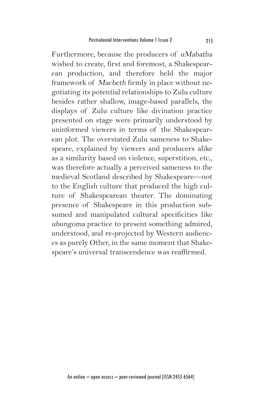Furthermore, because the producers of uMabatha wished to create, first and foremost, a Shakespearean production, and therefore held the major framework of Macbeth firmly in place without negotiating its potential relationships to Zulu culture besides rather shallow, image-based parallels, the displays of Zulu culture like divination practice presented on stage were primarily understood by uninformed viewers in terms of the Shakespearean plot. The overstated Zulu sameness to Shakespeare, explained by viewers and producers alike as a similarity based on violence, superstition, etc., was therefore actually a perceived sameness to the medieval Scotland described by Shakespeare—not to the English culture that produced the high culture of Shakespearean theater. The dominating presence of Shakespeare in this production subsumed and manipulated cultural specificities like ubungoma practice to present something admired, understood, and re-projected by Western audiences as purely Other, in the same moment that Shakespeare's universal transcendence was reaffirmed.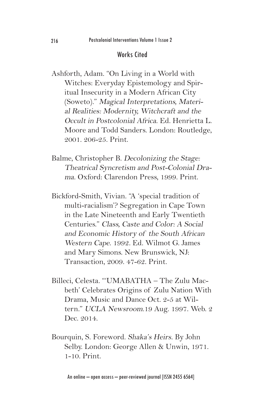## Works Cited

- Ashforth, Adam. "On Living in a World with Witches: Everyday Epistemology and Spiritual Insecurity in a Modern African City (Soweto)." Magical Interpretations, Material Realities: Modernity, Witchcraft and the Occult in Postcolonial Africa. Ed. Henrietta L. Moore and Todd Sanders. London: Routledge, 2001. 206-25. Print.
- Balme, Christopher B. Decolonizing the Stage: Theatrical Syncretism and Post-Colonial Drama. Oxford: Clarendon Press, 1999. Print.
- Bickford-Smith, Vivian. "A 'special tradition of multi-racialism'? Segregation in Cape Town in the Late Nineteenth and Early Twentieth Centuries." Class, Caste and Color: A Social and Economic History of the South African Western Cape. 1992. Ed. Wilmot G. James and Mary Simons. New Brunswick, NJ: Transaction, 2009. 47-62. Print.
- Billeci, Celesta. "'UMABATHA The Zulu Macbeth' Celebrates Origins of Zulu Nation With Drama, Music and Dance Oct. 2-5 at Wiltern." UCLA Newsroom.19 Aug. 1997. Web. 2 Dec. 2014.
- Bourquin, S. Foreword. Shaka's Heirs. By John Selby. London: George Allen & Unwin, 1971. 1-10. Print.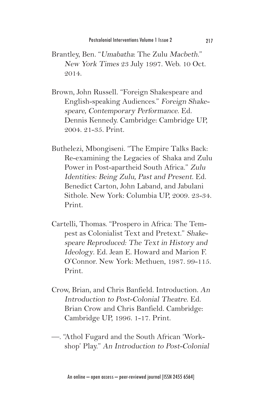- Brantley, Ben. "Umabatha: The Zulu Macbeth." New York Times 23 July 1997. Web. 10 Oct. 2014.
- Brown, John Russell. "Foreign Shakespeare and English-speaking Audiences." Foreign Shakespeare, Contemporary Performance. Ed. Dennis Kennedy. Cambridge: Cambridge UP, 2004. 21-35. Print.
- Buthelezi, Mbongiseni. "The Empire Talks Back: Re-examining the Legacies of Shaka and Zulu Power in Post-apartheid South Africa." Zulu Identities: Being Zulu, Past and Present. Ed. Benedict Carton, John Laband, and Jabulani Sithole. New York: Columbia UP, 2009. 23-34. Print.
- Cartelli, Thomas. "Prospero in Africa: The Tempest as Colonialist Text and Pretext." Shakespeare Reproduced: The Text in History and Ideology. Ed. Jean E. Howard and Marion F. O'Connor. New York: Methuen, 1987. 99-115. Print.
- Crow, Brian, and Chris Banfield. Introduction. An Introduction to Post-Colonial Theatre. Ed. Brian Crow and Chris Banfield. Cambridge: Cambridge UP, 1996. 1-17. Print.
- —. "Athol Fugard and the South African 'Workshop' Play." An Introduction to Post-Colonial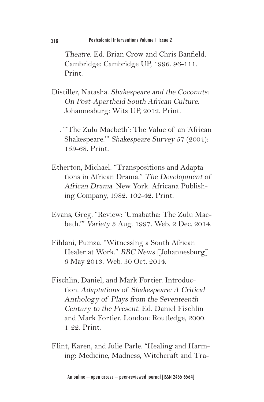Theatre. Ed. Brian Crow and Chris Banfield. Cambridge: Cambridge UP, 1996. 96-111. Print.

- Distiller, Natasha. Shakespeare and the Coconuts: On Post-Apartheid South African Culture. Johannesburg: Wits UP, 2012. Print.
- —. "'The Zulu Macbeth': The Value of an 'African Shakespeare.'" Shakespeare Survey 57 (2004): 159-68. Print.
- Etherton, Michael. "Transpositions and Adaptations in African Drama." The Development of African Drama. New York: Africana Publishing Company, 1982. 102-42. Print.
- Evans, Greg. "Review: 'Umabatha: The Zulu Macbeth.'" Variety 3 Aug. 1997. Web. 2 Dec. 2014.
- Fihlani, Pumza. "Witnessing a South African Healer at Work." BBC News [Johannesburg] 6 May 2013. Web. 30 Oct. 2014.
- Fischlin, Daniel, and Mark Fortier. Introduction. Adaptations of Shakespeare: A Critical Anthology of Plays from the Seventeenth Century to the Present. Ed. Daniel Fischlin and Mark Fortier. London: Routledge, 2000. 1-22. Print.
- Flint, Karen, and Julie Parle. "Healing and Harming: Medicine, Madness, Witchcraft and Tra-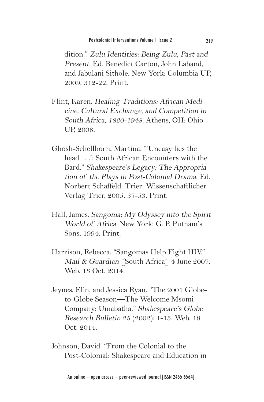dition." Zulu Identities: Being Zulu, Past and Present. Ed. Benedict Carton, John Laband, and Jabulani Sithole. New York: Columbia UP, 2009. 312-22. Print.

- Flint, Karen. Healing Traditions: African Medicine, Cultural Exchange, and Competition in South Africa, 1820-1948. Athens, OH: Ohio UP, 2008.
- Ghosh-Schellhorn, Martina. "'Uneasy lies the head . . .': South African Encounters with the Bard." Shakespeare's Legacy: The Appropriation of the Plays in Post-Colonial Drama. Ed. Norbert Schaffeld. Trier: Wissenschaftlicher Verlag Trier, 2005. 37-53. Print.
- Hall, James. Sangoma; My Odyssey into the Spirit World of Africa. New York: G. P. Putnam's Sons, 1994. Print.
- Harrison, Rebecca. "Sangomas Help Fight HIV." Mail & Guardian [South Africa] 4 June 2007. Web. 13 Oct. 2014.
- Jeynes, Elin, and Jessica Ryan. "The 2001 Globeto-Globe Season—The Welcome Msomi Company: Umabatha." Shakespeare's Globe Research Bulletin 25 (2002): 1-13. Web. 18 Oct. 2014.
- Johnson, David. "From the Colonial to the Post-Colonial: Shakespeare and Education in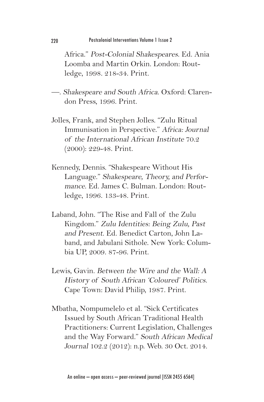Africa." Post-Colonial Shakespeares. Ed. Ania Loomba and Martin Orkin. London: Routledge, 1998. 218-34. Print.

- —. Shakespeare and South Africa. Oxford: Clarendon Press, 1996. Print.
- Jolles, Frank, and Stephen Jolles. "Zulu Ritual Immunisation in Perspective." Africa: Journal of the International African Institute 70.2 (2000): 229-48. Print.
- Kennedy, Dennis. "Shakespeare Without His Language." Shakespeare, Theory, and Performance. Ed. James C. Bulman. London: Routledge, 1996. 133-48. Print.
- Laband, John. "The Rise and Fall of the Zulu Kingdom." Zulu Identities: Being Zulu, Past and Present. Ed. Benedict Carton, John Laband, and Jabulani Sithole. New York: Columbia UP, 2009. 87-96. Print.
- Lewis, Gavin. Between the Wire and the Wall: A History of South African 'Coloured' Politics. Cape Town: David Philip, 1987. Print.
- Mbatha, Nompumelelo et al. "Sick Certificates Issued by South African Traditional Health Practitioners: Current Legislation, Challenges and the Way Forward." South African Medical Journal 102.2 (2012): n.p. Web. 30 Oct. 2014.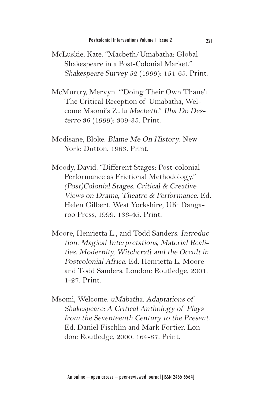- McLuskie, Kate. "Macbeth/Umabatha: Global Shakespeare in a Post-Colonial Market." Shakespeare Survey 52 (1999): 154-65. Print.
- McMurtry, Mervyn. "'Doing Their Own Thane': The Critical Reception of Umabatha, Welcome Msomi's Zulu Macbeth." Ilha Do Desterro 36 (1999): 309-35. Print.
- Modisane, Bloke. Blame Me On History. New York: Dutton, 1963. Print.
- Moody, David. "Different Stages: Post-colonial Performance as Frictional Methodology." (Post)Colonial Stages: Critical & Creative Views on Drama, Theatre & Performance. Ed. Helen Gilbert. West Yorkshire, UK: Dangaroo Press, 1999. 136-45. Print.
- Moore, Henrietta L., and Todd Sanders. Introduction. Magical Interpretations, Material Realities: Modernity, Witchcraft and the Occult in Postcolonial Africa. Ed. Henrietta L. Moore and Todd Sanders. London: Routledge, 2001. 1-27. Print.
- Msomi, Welcome. uMabatha. Adaptations of Shakespeare: A Critical Anthology of Plays from the Seventeenth Century to the Present. Ed. Daniel Fischlin and Mark Fortier. London: Routledge, 2000. 164-87. Print.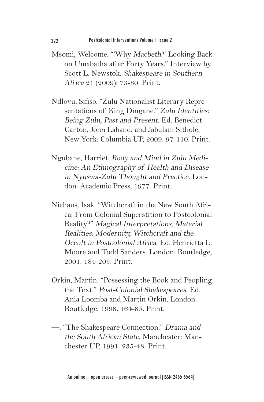- Msomi, Welcome. "'Why Macbeth?' Looking Back on Umabatha after Forty Years." Interview by Scott L. Newstok. Shakespeare in Southern Africa 21 (2009): 73-80. Print.
- Ndlovu, Sifiso. "Zulu Nationalist Literary Representations of King Dingane." Zulu Identities: Being Zulu, Past and Present. Ed. Benedict Carton, John Laband, and Jabulani Sithole. New York: Columbia UP, 2009. 97-110. Print.
- Ngubane, Harriet. Body and Mind in Zulu Medicine: An Ethnography of Health and Disease in Nyuswa-Zulu Thought and Practice. London: Academic Press, 1977. Print.
- Niehaus, Isak. "Witchcraft in the New South Africa: From Colonial Superstition to Postcolonial Reality?" Magical Interpretations, Material Realities: Modernity, Witchcraft and the Occult in Postcolonial Africa. Ed. Henrietta L. Moore and Todd Sanders. London: Routledge, 2001. 184-205. Print.
- Orkin, Martin. "Possessing the Book and Peopling the Text." Post-Colonial Shakespeares. Ed. Ania Loomba and Martin Orkin. London: Routledge, 1998. 164-85. Print.
- —. "The Shakespeare Connection." Drama and the South African State. Manchester: Manchester UP, 1991. 235-48. Print.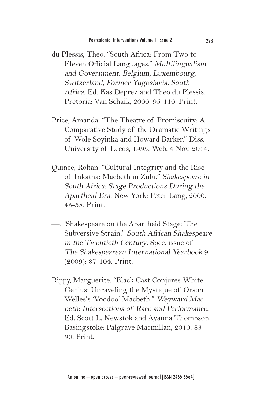- du Plessis, Theo. "South Africa: From Two to Eleven Official Languages." Multilingualism and Government: Belgium, Luxembourg, Switzerland, Former Yugoslavia, South Africa. Ed. Kas Deprez and Theo du Plessis. Pretoria: Van Schaik, 2000. 95-110. Print.
- Price, Amanda. "The Theatre of Promiscuity: A Comparative Study of the Dramatic Writings of Wole Soyinka and Howard Barker." Diss. University of Leeds, 1995. Web. 4 Nov. 2014.
- Quince, Rohan. "Cultural Integrity and the Rise of Inkatha: Macbeth in Zulu." Shakespeare in South Africa: Stage Productions During the Apartheid Era. New York: Peter Lang, 2000. 45-58. Print.
- —. "Shakespeare on the Apartheid Stage: The Subversive Strain." South African Shakespeare in the Twentieth Century. Spec. issue of The Shakespearean International Yearbook 9 (2009): 87-104. Print.
- Rippy, Marguerite. "Black Cast Conjures White Genius: Unraveling the Mystique of Orson Welles's 'Voodoo' Macbeth." Weyward Macbeth: Intersections of Race and Performance. Ed. Scott L. Newstok and Ayanna Thompson. Basingstoke: Palgrave Macmillan, 2010. 83- 90. Print.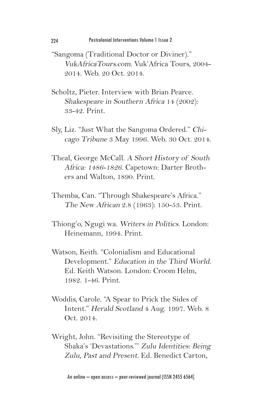- "Sangoma (Traditional Doctor or Diviner)." VukAfricaTours.com. Vuk'Africa Tours, 2004- 2014. Web. 20 Oct. 2014.
- Scholtz, Pieter. Interview with Brian Pearce. Shakespeare in Southern Africa 14 (2002): 33-42. Print.
- Sly, Liz. "Just What the Sangoma Ordered." Chicago Tribune 3 May 1996. Web. 30 Oct. 2014.
- Theal, George McCall. A Short History of South Africa: 1486-1826. Capetown: Darter Brothers and Walton, 1890. Print.
- Themba, Can. "Through Shakespeare's Africa." The New African 2.8 (1963): 150-53. Print.
- Thiong'o, Ngugi wa. Writers in Politics. London: Heinemann, 1994. Print.
- Watson, Keith. "Colonialism and Educational Development." Education in the Third World. Ed. Keith Watson. London: Croom Helm, 1982. 1-46. Print.
- Woddis, Carole. "A Spear to Prick the Sides of Intent." Herald Scotland 4 Aug. 1997. Web. 8 Oct. 2014.
- Wright, John. "Revisiting the Stereotype of Shaka's 'Devastations.'" Zulu Identities: Being Zulu, Past and Present. Ed. Benedict Carton,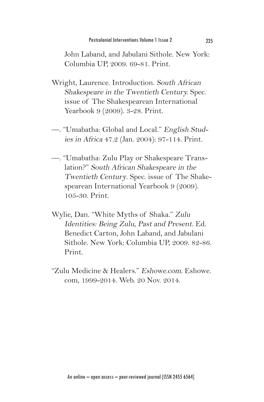John Laband, and Jabulani Sithole. New York: Columbia UP, 2009. 69-81. Print.

- Wright, Laurence. Introduction. South African Shakespeare in the Twentieth Century. Spec. issue of The Shakespearean International Yearbook 9 (2009). 3-28. Print.
- —. "Umabatha: Global and Local." English Studies in Africa 47.2 (Jan. 2004): 97-114. Print.
- —. "Umabatha: Zulu Play or Shakespeare Translation?" South African Shakespeare in the Twentieth Century. Spec. issue of The Shakespearean International Yearbook 9 (2009). 105-30. Print.
- Wylie, Dan. "White Myths of Shaka." Zulu Identities: Being Zulu, Past and Present. Ed. Benedict Carton, John Laband, and Jabulani Sithole. New York: Columbia UP, 2009. 82-86. Print.
- "Zulu Medicine & Healers." Eshowe.com. Eshowe. com, 1999-2014. Web. 20 Nov. 2014.